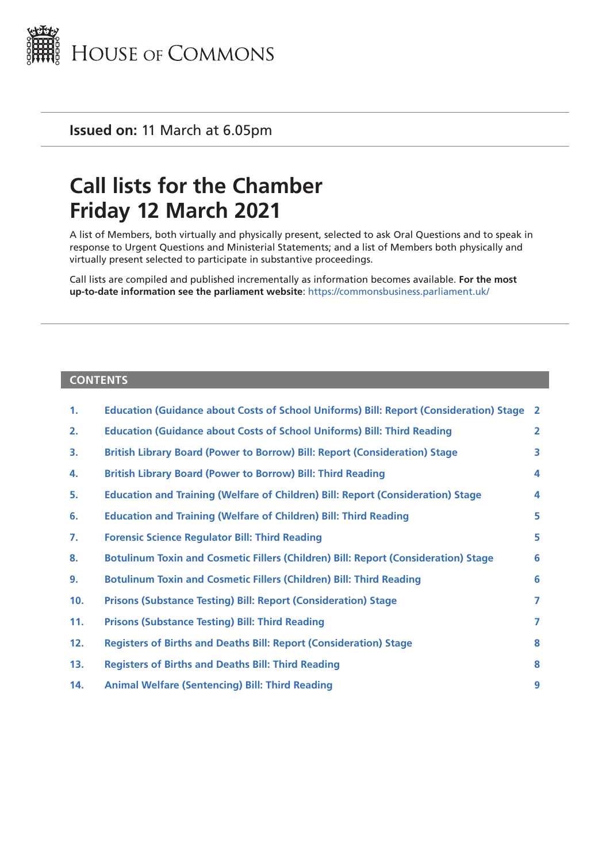

**Issued on:** 11 March at 6.05pm

# **Call lists for the Chamber Friday 12 March 2021**

A list of Members, both virtually and physically present, selected to ask Oral Questions and to speak in response to Urgent Questions and Ministerial Statements; and a list of Members both physically and virtually present selected to participate in substantive proceedings.

Call lists are compiled and published incrementally as information becomes available. **For the most up-to-date information see the parliament website**: <https://commonsbusiness.parliament.uk/>

#### **CONTENTS**

| 1.  | <b>Education (Guidance about Costs of School Uniforms) Bill: Report (Consideration) Stage</b> | $\overline{2}$ |
|-----|-----------------------------------------------------------------------------------------------|----------------|
| 2.  | <b>Education (Guidance about Costs of School Uniforms) Bill: Third Reading</b>                | $\overline{2}$ |
| 3.  | British Library Board (Power to Borrow) Bill: Report (Consideration) Stage                    | 3              |
| 4.  | <b>British Library Board (Power to Borrow) Bill: Third Reading</b>                            | 4              |
| 5.  | <b>Education and Training (Welfare of Children) Bill: Report (Consideration) Stage</b>        | 4              |
| 6.  | <b>Education and Training (Welfare of Children) Bill: Third Reading</b>                       | 5              |
| 7.  | <b>Forensic Science Regulator Bill: Third Reading</b>                                         | 5              |
| 8.  | Botulinum Toxin and Cosmetic Fillers (Children) Bill: Report (Consideration) Stage            | 6              |
| 9.  | <b>Botulinum Toxin and Cosmetic Fillers (Children) Bill: Third Reading</b>                    | 6              |
| 10. | <b>Prisons (Substance Testing) Bill: Report (Consideration) Stage</b>                         | 7              |
| 11. | <b>Prisons (Substance Testing) Bill: Third Reading</b>                                        | 7              |
| 12. | <b>Registers of Births and Deaths Bill: Report (Consideration) Stage</b>                      | 8              |
| 13. | <b>Registers of Births and Deaths Bill: Third Reading</b>                                     | 8              |
| 14. | <b>Animal Welfare (Sentencing) Bill: Third Reading</b>                                        | 9              |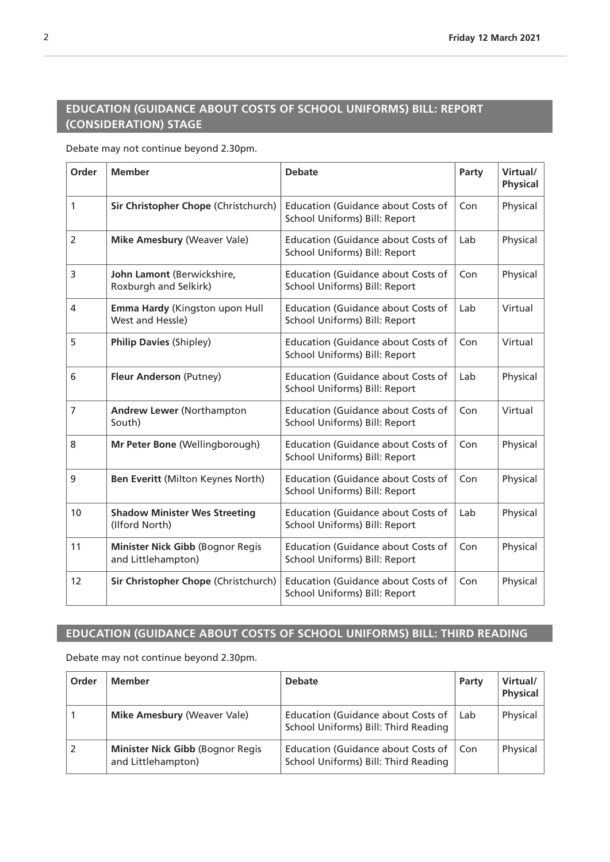# <span id="page-1-0"></span>**EDUCATION (GUIDANCE ABOUT COSTS OF SCHOOL UNIFORMS) BILL: REPORT (CONSIDERATION) STAGE**

Debate may not continue beyond 2.30pm.

| Order | <b>Member</b>                                          | <b>Debate</b>                                                              | Party | Virtual/<br><b>Physical</b> |
|-------|--------------------------------------------------------|----------------------------------------------------------------------------|-------|-----------------------------|
| 1     | Sir Christopher Chope (Christchurch)                   | <b>Education (Guidance about Costs of</b><br>School Uniforms) Bill: Report | Con   | Physical                    |
| 2     | Mike Amesbury (Weaver Vale)                            | <b>Education (Guidance about Costs of</b><br>School Uniforms) Bill: Report | Lab   | Physical                    |
| 3     | John Lamont (Berwickshire,<br>Roxburgh and Selkirk)    | <b>Education (Guidance about Costs of</b><br>School Uniforms) Bill: Report | Con   | Physical                    |
| 4     | Emma Hardy (Kingston upon Hull<br>West and Hessle)     | <b>Education (Guidance about Costs of</b><br>School Uniforms) Bill: Report | Lab   | Virtual                     |
| 5     | <b>Philip Davies (Shipley)</b>                         | <b>Education (Guidance about Costs of</b><br>School Uniforms) Bill: Report | Con   | Virtual                     |
| 6     | Fleur Anderson (Putney)                                | <b>Education (Guidance about Costs of</b><br>School Uniforms) Bill: Report | Lab   | Physical                    |
| 7     | <b>Andrew Lewer (Northampton</b><br>South)             | <b>Education (Guidance about Costs of</b><br>School Uniforms) Bill: Report | Con   | Virtual                     |
| 8     | Mr Peter Bone (Wellingborough)                         | <b>Education (Guidance about Costs of</b><br>School Uniforms) Bill: Report | Con   | Physical                    |
| 9     | Ben Everitt (Milton Keynes North)                      | <b>Education (Guidance about Costs of</b><br>School Uniforms) Bill: Report | Con   | Physical                    |
| 10    | <b>Shadow Minister Wes Streeting</b><br>(Ilford North) | <b>Education (Guidance about Costs of</b><br>School Uniforms) Bill: Report | Lab   | Physical                    |
| 11    | Minister Nick Gibb (Bognor Regis<br>and Littlehampton) | <b>Education (Guidance about Costs of</b><br>School Uniforms) Bill: Report | Con   | Physical                    |
| 12    | Sir Christopher Chope (Christchurch)                   | <b>Education (Guidance about Costs of</b><br>School Uniforms) Bill: Report | Con   | Physical                    |

### **EDUCATION (GUIDANCE ABOUT COSTS OF SCHOOL UNIFORMS) BILL: THIRD READING**

| Order | <b>Member</b>                                          | <b>Debate</b>                                                                     | Party | Virtual/<br><b>Physical</b> |
|-------|--------------------------------------------------------|-----------------------------------------------------------------------------------|-------|-----------------------------|
|       | <b>Mike Amesbury (Weaver Vale)</b>                     | <b>Education (Guidance about Costs of</b><br>School Uniforms) Bill: Third Reading | Lab   | Physical                    |
|       | Minister Nick Gibb (Bognor Regis<br>and Littlehampton) | <b>Education (Guidance about Costs of</b><br>School Uniforms) Bill: Third Reading | Con   | Physical                    |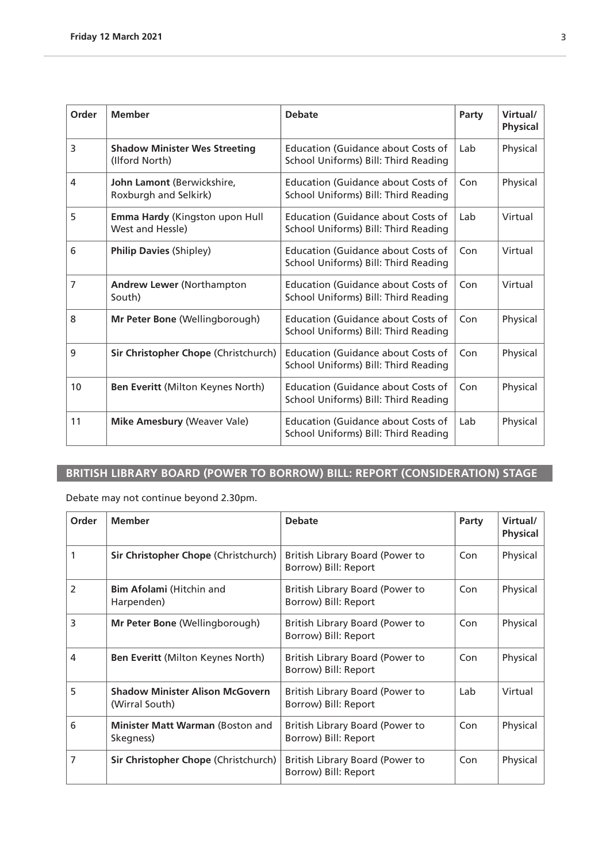<span id="page-2-0"></span>

| Order | <b>Member</b>                                          | <b>Debate</b>                                                                     | Party | Virtual/<br><b>Physical</b> |
|-------|--------------------------------------------------------|-----------------------------------------------------------------------------------|-------|-----------------------------|
| 3     | <b>Shadow Minister Wes Streeting</b><br>(Ilford North) | <b>Education (Guidance about Costs of</b><br>School Uniforms) Bill: Third Reading | Lab   | Physical                    |
| 4     | John Lamont (Berwickshire,<br>Roxburgh and Selkirk)    | <b>Education (Guidance about Costs of</b><br>School Uniforms) Bill: Third Reading | Con   | Physical                    |
| 5     | Emma Hardy (Kingston upon Hull<br>West and Hessle)     | <b>Education (Guidance about Costs of</b><br>School Uniforms) Bill: Third Reading | Lab   | Virtual                     |
| 6     | <b>Philip Davies (Shipley)</b>                         | Education (Guidance about Costs of<br>School Uniforms) Bill: Third Reading        | Con   | Virtual                     |
| 7     | <b>Andrew Lewer (Northampton</b><br>South)             | <b>Education (Guidance about Costs of</b><br>School Uniforms) Bill: Third Reading | Con   | Virtual                     |
| 8     | Mr Peter Bone (Wellingborough)                         | <b>Education (Guidance about Costs of</b><br>School Uniforms) Bill: Third Reading | Con   | Physical                    |
| 9     | Sir Christopher Chope (Christchurch)                   | <b>Education (Guidance about Costs of</b><br>School Uniforms) Bill: Third Reading | Con   | Physical                    |
| 10    | Ben Everitt (Milton Keynes North)                      | <b>Education (Guidance about Costs of</b><br>School Uniforms) Bill: Third Reading | Con   | Physical                    |
| 11    | <b>Mike Amesbury (Weaver Vale)</b>                     | Education (Guidance about Costs of<br>School Uniforms) Bill: Third Reading        | Lab   | Physical                    |

# **BRITISH LIBRARY BOARD (POWER TO BORROW) BILL: REPORT (CONSIDERATION) STAGE**

| Order          | <b>Member</b>                                            | <b>Debate</b>                                           | Party | Virtual/<br><b>Physical</b> |
|----------------|----------------------------------------------------------|---------------------------------------------------------|-------|-----------------------------|
|                | Sir Christopher Chope (Christchurch)                     | British Library Board (Power to<br>Borrow) Bill: Report | Con   | Physical                    |
| $\overline{2}$ | <b>Bim Afolami</b> (Hitchin and<br>Harpenden)            | British Library Board (Power to<br>Borrow) Bill: Report | Con   | Physical                    |
| 3              | <b>Mr Peter Bone (Wellingborough)</b>                    | British Library Board (Power to<br>Borrow) Bill: Report | Con   | Physical                    |
| $\overline{4}$ | Ben Everitt (Milton Keynes North)                        | British Library Board (Power to<br>Borrow) Bill: Report | Con   | Physical                    |
| 5              | <b>Shadow Minister Alison McGovern</b><br>(Wirral South) | British Library Board (Power to<br>Borrow) Bill: Report | Lab   | Virtual                     |
| 6              | <b>Minister Matt Warman (Boston and</b><br>Skegness)     | British Library Board (Power to<br>Borrow) Bill: Report | Con   | Physical                    |
| 7              | Sir Christopher Chope (Christchurch)                     | British Library Board (Power to<br>Borrow) Bill: Report | Con   | Physical                    |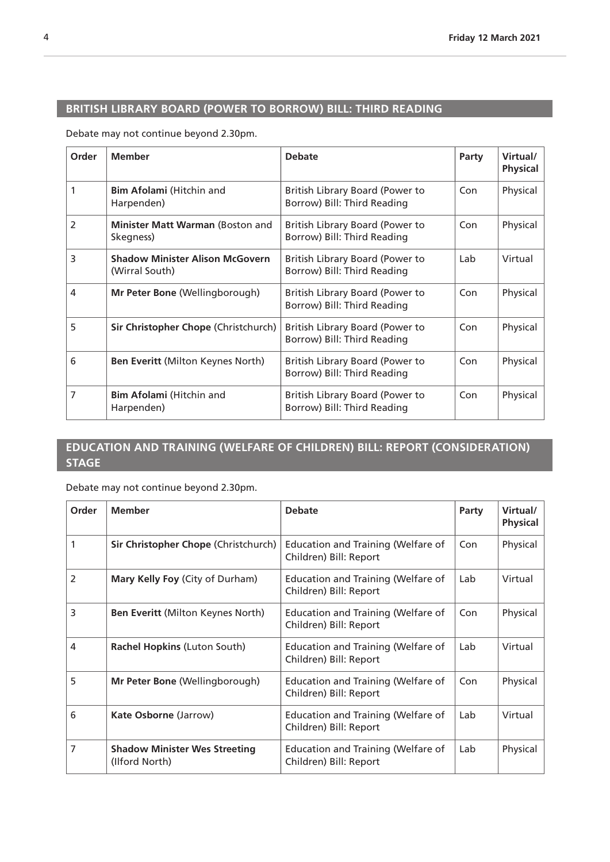# <span id="page-3-0"></span>**BRITISH LIBRARY BOARD (POWER TO BORROW) BILL: THIRD READING**

Debate may not continue beyond 2.30pm.

| Order          | <b>Member</b>                                            | <b>Debate</b>                                                  | Party | Virtual/<br><b>Physical</b> |
|----------------|----------------------------------------------------------|----------------------------------------------------------------|-------|-----------------------------|
| 1              | <b>Bim Afolami</b> (Hitchin and<br>Harpenden)            | British Library Board (Power to<br>Borrow) Bill: Third Reading | Con   | Physical                    |
| 2              | Minister Matt Warman (Boston and<br>Skegness)            | British Library Board (Power to<br>Borrow) Bill: Third Reading | Con   | Physical                    |
| 3              | <b>Shadow Minister Alison McGovern</b><br>(Wirral South) | British Library Board (Power to<br>Borrow) Bill: Third Reading | Lab   | Virtual                     |
| $\overline{4}$ | Mr Peter Bone (Wellingborough)                           | British Library Board (Power to<br>Borrow) Bill: Third Reading | Con   | Physical                    |
| 5              | Sir Christopher Chope (Christchurch)                     | British Library Board (Power to<br>Borrow) Bill: Third Reading | Con   | Physical                    |
| 6              | <b>Ben Everitt (Milton Keynes North)</b>                 | British Library Board (Power to<br>Borrow) Bill: Third Reading | Con   | Physical                    |
| $\overline{7}$ | <b>Bim Afolami</b> (Hitchin and<br>Harpenden)            | British Library Board (Power to<br>Borrow) Bill: Third Reading | Con   | Physical                    |

### **EDUCATION AND TRAINING (WELFARE OF CHILDREN) BILL: REPORT (CONSIDERATION) STAGE**

| Order          | <b>Member</b>                                          | <b>Debate</b>                                                       | Party | Virtual/<br><b>Physical</b> |
|----------------|--------------------------------------------------------|---------------------------------------------------------------------|-------|-----------------------------|
| 1              | Sir Christopher Chope (Christchurch)                   | <b>Education and Training (Welfare of</b><br>Children) Bill: Report | Con   | Physical                    |
| $\overline{2}$ | <b>Mary Kelly Foy (City of Durham)</b>                 | Education and Training (Welfare of<br>Children) Bill: Report        | Lab   | Virtual                     |
| 3              | Ben Everitt (Milton Keynes North)                      | <b>Education and Training (Welfare of</b><br>Children) Bill: Report | Con   | Physical                    |
| 4              | Rachel Hopkins (Luton South)                           | <b>Education and Training (Welfare of</b><br>Children) Bill: Report | Lab   | Virtual                     |
| 5              | Mr Peter Bone (Wellingborough)                         | Education and Training (Welfare of<br>Children) Bill: Report        | Con   | Physical                    |
| 6              | <b>Kate Osborne (Jarrow)</b>                           | Education and Training (Welfare of<br>Children) Bill: Report        | Lab   | Virtual                     |
| 7              | <b>Shadow Minister Wes Streeting</b><br>(Ilford North) | <b>Education and Training (Welfare of</b><br>Children) Bill: Report | Lab   | Physical                    |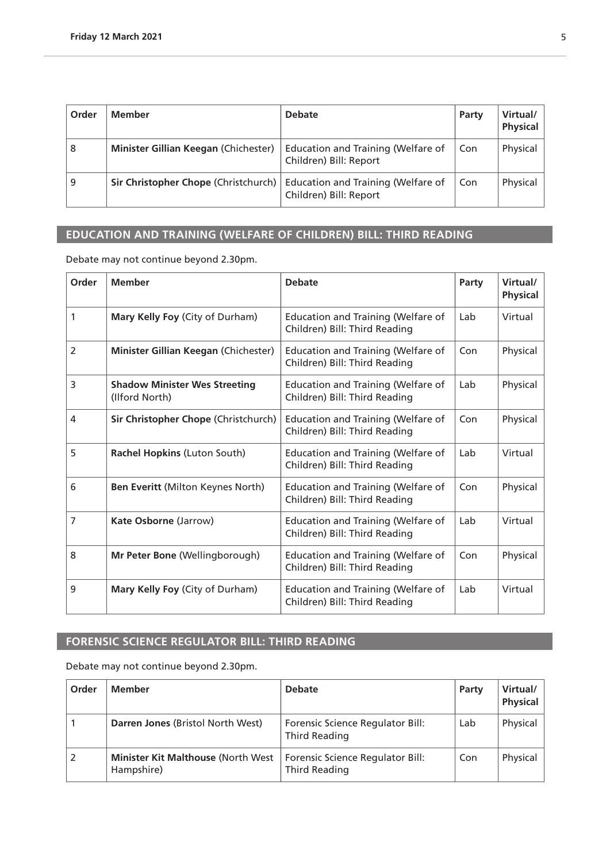<span id="page-4-0"></span>

| Order | Member                               | <b>Debate</b>                                                | Party | Virtual/<br><b>Physical</b> |
|-------|--------------------------------------|--------------------------------------------------------------|-------|-----------------------------|
| 8     | Minister Gillian Keegan (Chichester) | Education and Training (Welfare of<br>Children) Bill: Report | Con   | Physical                    |
| 9     | Sir Christopher Chope (Christchurch) | Education and Training (Welfare of<br>Children) Bill: Report | Con   | Physical                    |

# **EDUCATION AND TRAINING (WELFARE OF CHILDREN) BILL: THIRD READING**

Debate may not continue beyond 2.30pm.

| Order | <b>Member</b>                                          | <b>Debate</b>                                                              | Party | Virtual/<br><b>Physical</b> |
|-------|--------------------------------------------------------|----------------------------------------------------------------------------|-------|-----------------------------|
| 1     | Mary Kelly Foy (City of Durham)                        | <b>Education and Training (Welfare of</b><br>Children) Bill: Third Reading | Lab   | Virtual                     |
| 2     | Minister Gillian Keegan (Chichester)                   | <b>Education and Training (Welfare of</b><br>Children) Bill: Third Reading | Con   | Physical                    |
| 3     | <b>Shadow Minister Wes Streeting</b><br>(Ilford North) | Education and Training (Welfare of<br>Children) Bill: Third Reading        | Lab   | Physical                    |
| 4     | Sir Christopher Chope (Christchurch)                   | Education and Training (Welfare of<br>Children) Bill: Third Reading        | Con   | Physical                    |
| 5     | Rachel Hopkins (Luton South)                           | <b>Education and Training (Welfare of</b><br>Children) Bill: Third Reading | Lab   | Virtual                     |
| 6     | Ben Everitt (Milton Keynes North)                      | <b>Education and Training (Welfare of</b><br>Children) Bill: Third Reading | Con   | Physical                    |
| 7     | Kate Osborne (Jarrow)                                  | <b>Education and Training (Welfare of</b><br>Children) Bill: Third Reading | Lab   | Virtual                     |
| 8     | Mr Peter Bone (Wellingborough)                         | Education and Training (Welfare of<br>Children) Bill: Third Reading        | Con   | Physical                    |
| 9     | Mary Kelly Foy (City of Durham)                        | <b>Education and Training (Welfare of</b><br>Children) Bill: Third Reading | Lab   | Virtual                     |

#### **FORENSIC SCIENCE REGULATOR BILL: THIRD READING**

| Order | <b>Member</b>                                            | <b>Debate</b>                                            | Party | Virtual/<br><b>Physical</b> |
|-------|----------------------------------------------------------|----------------------------------------------------------|-------|-----------------------------|
|       | Darren Jones (Bristol North West)                        | Forensic Science Regulator Bill:<br><b>Third Reading</b> | Lab   | Physical                    |
|       | <b>Minister Kit Malthouse (North West)</b><br>Hampshire) | Forensic Science Regulator Bill:<br>Third Reading        | Con   | Physical                    |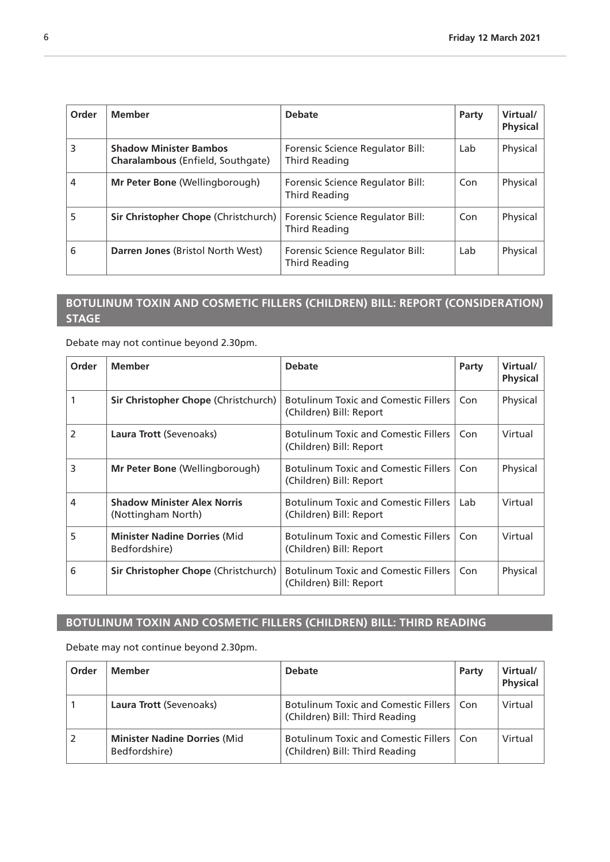<span id="page-5-0"></span>

| Order | <b>Member</b>                                                      | <b>Debate</b>                                     | Party | Virtual/<br><b>Physical</b> |
|-------|--------------------------------------------------------------------|---------------------------------------------------|-------|-----------------------------|
| 3     | <b>Shadow Minister Bambos</b><br>Charalambous (Enfield, Southgate) | Forensic Science Regulator Bill:<br>Third Reading | Lab   | Physical                    |
| 4     | Mr Peter Bone (Wellingborough)                                     | Forensic Science Regulator Bill:<br>Third Reading | Con   | Physical                    |
| 5     | Sir Christopher Chope (Christchurch)                               | Forensic Science Regulator Bill:<br>Third Reading | Con   | Physical                    |
| 6     | Darren Jones (Bristol North West)                                  | Forensic Science Regulator Bill:<br>Third Reading | Lab   | Physical                    |

### **BOTULINUM TOXIN AND COSMETIC FILLERS (CHILDREN) BILL: REPORT (CONSIDERATION) STAGE**

Debate may not continue beyond 2.30pm.

| Order          | <b>Member</b>                                            | <b>Debate</b>                                                          | Party | Virtual/<br><b>Physical</b> |
|----------------|----------------------------------------------------------|------------------------------------------------------------------------|-------|-----------------------------|
|                | <b>Sir Christopher Chope (Christchurch)</b>              | <b>Botulinum Toxic and Comestic Fillers</b><br>(Children) Bill: Report | Con   | Physical                    |
| $\overline{2}$ | Laura Trott (Sevenoaks)                                  | <b>Botulinum Toxic and Comestic Fillers</b><br>(Children) Bill: Report | Con   | Virtual                     |
| 3              | <b>Mr Peter Bone (Wellingborough)</b>                    | <b>Botulinum Toxic and Comestic Fillers</b><br>(Children) Bill: Report | Con   | Physical                    |
| 4              | <b>Shadow Minister Alex Norris</b><br>(Nottingham North) | <b>Botulinum Toxic and Comestic Fillers</b><br>(Children) Bill: Report | Lab   | Virtual                     |
| 5              | <b>Minister Nadine Dorries (Mid</b><br>Bedfordshire)     | <b>Botulinum Toxic and Comestic Fillers</b><br>(Children) Bill: Report | Con   | Virtual                     |
| 6              | Sir Christopher Chope (Christchurch)                     | <b>Botulinum Toxic and Comestic Fillers</b><br>(Children) Bill: Report | Con   | Physical                    |

# **BOTULINUM TOXIN AND COSMETIC FILLERS (CHILDREN) BILL: THIRD READING**

| Order | <b>Member</b>                                        | <b>Debate</b>                                                                 | Party | Virtual/<br><b>Physical</b> |
|-------|------------------------------------------------------|-------------------------------------------------------------------------------|-------|-----------------------------|
|       | Laura Trott (Sevenoaks)                              | <b>Botulinum Toxic and Comestic Fillers</b><br>(Children) Bill: Third Reading | Con   | Virtual                     |
|       | <b>Minister Nadine Dorries (Mid</b><br>Bedfordshire) | <b>Botulinum Toxic and Comestic Fillers</b><br>(Children) Bill: Third Reading | Con   | Virtual                     |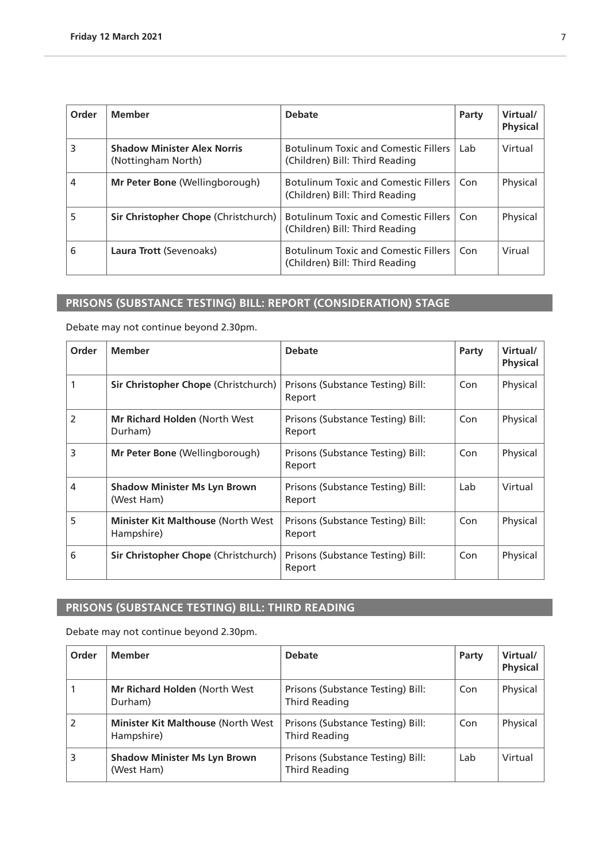<span id="page-6-0"></span>

| Order | <b>Member</b>                                            | <b>Debate</b>                                                                 | Party | Virtual/<br><b>Physical</b> |
|-------|----------------------------------------------------------|-------------------------------------------------------------------------------|-------|-----------------------------|
| 3     | <b>Shadow Minister Alex Norris</b><br>(Nottingham North) | <b>Botulinum Toxic and Comestic Fillers</b><br>(Children) Bill: Third Reading | Lab   | Virtual                     |
| 4     | <b>Mr Peter Bone (Wellingborough)</b>                    | <b>Botulinum Toxic and Comestic Fillers</b><br>(Children) Bill: Third Reading | Con   | Physical                    |
| 5     | Sir Christopher Chope (Christchurch)                     | <b>Botulinum Toxic and Comestic Fillers</b><br>(Children) Bill: Third Reading | Con   | Physical                    |
| 6     | Laura Trott (Sevenoaks)                                  | <b>Botulinum Toxic and Comestic Fillers</b><br>(Children) Bill: Third Reading | Con   | Virual                      |

# **PRISONS (SUBSTANCE TESTING) BILL: REPORT (CONSIDERATION) STAGE**

Debate may not continue beyond 2.30pm.

| Order | <b>Member</b>                                            | <b>Debate</b>                               | Party | Virtual/<br><b>Physical</b> |
|-------|----------------------------------------------------------|---------------------------------------------|-------|-----------------------------|
|       | Sir Christopher Chope (Christchurch)                     | Prisons (Substance Testing) Bill:<br>Report | Con   | Physical                    |
| 2     | <b>Mr Richard Holden (North West)</b><br>Durham)         | Prisons (Substance Testing) Bill:<br>Report | Con   | Physical                    |
| 3     | <b>Mr Peter Bone (Wellingborough)</b>                    | Prisons (Substance Testing) Bill:<br>Report | Con   | Physical                    |
| 4     | <b>Shadow Minister Ms Lyn Brown</b><br>(West Ham)        | Prisons (Substance Testing) Bill:<br>Report | Lab   | Virtual                     |
| 5     | <b>Minister Kit Malthouse (North West)</b><br>Hampshire) | Prisons (Substance Testing) Bill:<br>Report | Con   | Physical                    |
| 6     | <b>Sir Christopher Chope (Christchurch)</b>              | Prisons (Substance Testing) Bill:<br>Report | Con   | Physical                    |

# **PRISONS (SUBSTANCE TESTING) BILL: THIRD READING**

| Order | <b>Member</b>                                            | <b>Debate</b>                                             | Party | Virtual/<br><b>Physical</b> |
|-------|----------------------------------------------------------|-----------------------------------------------------------|-------|-----------------------------|
|       | <b>Mr Richard Holden (North West)</b><br>Durham)         | Prisons (Substance Testing) Bill:<br>Third Reading        | Con   | Physical                    |
|       | <b>Minister Kit Malthouse (North West)</b><br>Hampshire) | Prisons (Substance Testing) Bill:<br>Third Reading        | Con   | Physical                    |
| 3     | <b>Shadow Minister Ms Lyn Brown</b><br>(West Ham)        | Prisons (Substance Testing) Bill:<br><b>Third Reading</b> | Lab   | Virtual                     |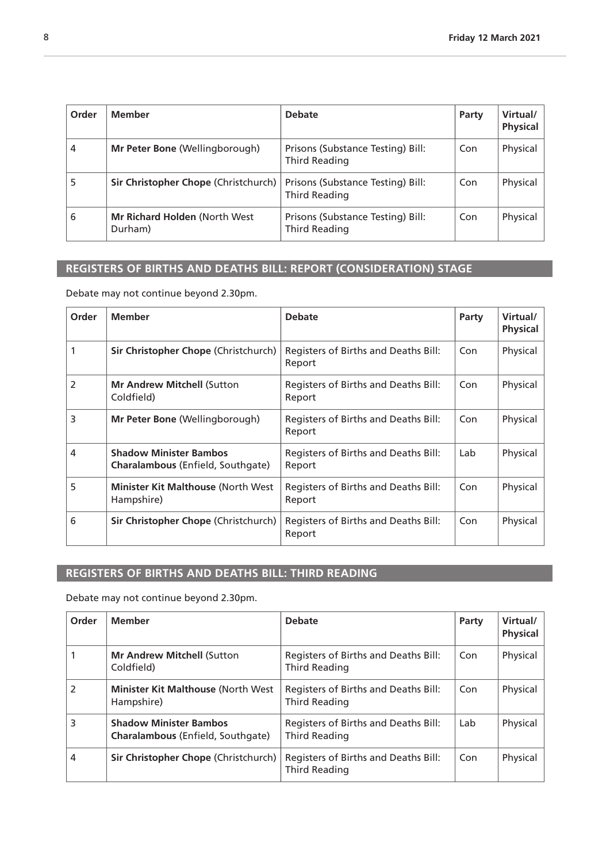<span id="page-7-0"></span>

| Order | <b>Member</b>                            | <b>Debate</b>                                      | Party | Virtual/<br><b>Physical</b> |
|-------|------------------------------------------|----------------------------------------------------|-------|-----------------------------|
| 4     | Mr Peter Bone (Wellingborough)           | Prisons (Substance Testing) Bill:<br>Third Reading | Con   | Physical                    |
| 5     | Sir Christopher Chope (Christchurch)     | Prisons (Substance Testing) Bill:<br>Third Reading | Con   | Physical                    |
| 6     | Mr Richard Holden (North West<br>Durham) | Prisons (Substance Testing) Bill:<br>Third Reading | Con   | Physical                    |

# **REGISTERS OF BIRTHS AND DEATHS BILL: REPORT (CONSIDERATION) STAGE**

Debate may not continue beyond 2.30pm.

| Order          | <b>Member</b>                                                             | <b>Debate</b>                                  | Party | Virtual/<br><b>Physical</b> |
|----------------|---------------------------------------------------------------------------|------------------------------------------------|-------|-----------------------------|
| 1              | Sir Christopher Chope (Christchurch)                                      | Registers of Births and Deaths Bill:<br>Report | Con   | Physical                    |
| $\overline{2}$ | <b>Mr Andrew Mitchell (Sutton</b><br>Coldfield)                           | Registers of Births and Deaths Bill:<br>Report | Con   | Physical                    |
| 3              | <b>Mr Peter Bone (Wellingborough)</b>                                     | Registers of Births and Deaths Bill:<br>Report | Con   | Physical                    |
| 4              | <b>Shadow Minister Bambos</b><br><b>Charalambous</b> (Enfield, Southgate) | Registers of Births and Deaths Bill:<br>Report | Lab   | Physical                    |
| 5              | <b>Minister Kit Malthouse (North West)</b><br>Hampshire)                  | Registers of Births and Deaths Bill:<br>Report | Con   | Physical                    |
| 6              | Sir Christopher Chope (Christchurch)                                      | Registers of Births and Deaths Bill:<br>Report | Con   | Physical                    |

### **REGISTERS OF BIRTHS AND DEATHS BILL: THIRD READING**

| Order          | <b>Member</b>                                                      | <b>Debate</b>                                                | Party | Virtual/<br><b>Physical</b> |
|----------------|--------------------------------------------------------------------|--------------------------------------------------------------|-------|-----------------------------|
|                | <b>Mr Andrew Mitchell (Sutton</b><br>Coldfield)                    | Registers of Births and Deaths Bill:<br><b>Third Reading</b> | Con   | Physical                    |
| $\mathfrak{p}$ | <b>Minister Kit Malthouse (North West)</b><br>Hampshire)           | Registers of Births and Deaths Bill:<br>Third Reading        | Con   | Physical                    |
| 3              | <b>Shadow Minister Bambos</b><br>Charalambous (Enfield, Southgate) | Registers of Births and Deaths Bill:<br><b>Third Reading</b> | Lab   | Physical                    |
| 4              | Sir Christopher Chope (Christchurch)                               | Registers of Births and Deaths Bill:<br><b>Third Reading</b> | Con   | Physical                    |